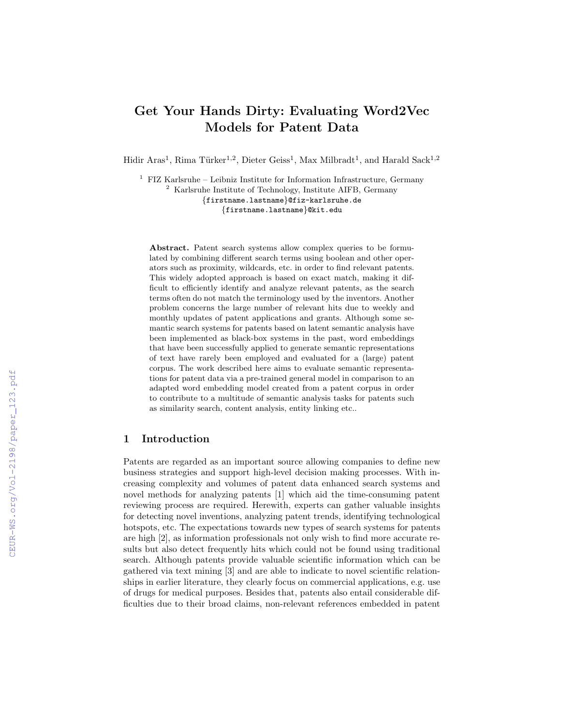# Get Your Hands Dirty: Evaluating Word2Vec Models for Patent Data

Hidir Aras<sup>1</sup>, Rima Türker<sup>1,2</sup>, Dieter Geiss<sup>1</sup>, Max Milbradt<sup>1</sup>, and Harald Sack<sup>1,2</sup>

 $1$  FIZ Karlsruhe – Leibniz Institute for Information Infrastructure, Germany <sup>2</sup> Karlsruhe Institute of Technology, Institute AIFB, Germany {firstname.lastname}@fiz-karlsruhe.de {firstname.lastname}@kit.edu

Abstract. Patent search systems allow complex queries to be formulated by combining different search terms using boolean and other operators such as proximity, wildcards, etc. in order to find relevant patents. This widely adopted approach is based on exact match, making it difficult to efficiently identify and analyze relevant patents, as the search terms often do not match the terminology used by the inventors. Another problem concerns the large number of relevant hits due to weekly and monthly updates of patent applications and grants. Although some semantic search systems for patents based on latent semantic analysis have been implemented as black-box systems in the past, word embeddings that have been successfully applied to generate semantic representations of text have rarely been employed and evaluated for a (large) patent corpus. The work described here aims to evaluate semantic representations for patent data via a pre-trained general model in comparison to an adapted word embedding model created from a patent corpus in order to contribute to a multitude of semantic analysis tasks for patents such as similarity search, content analysis, entity linking etc..

## 1 Introduction

Patents are regarded as an important source allowing companies to define new business strategies and support high-level decision making processes. With increasing complexity and volumes of patent data enhanced search systems and novel methods for analyzing patents [1] which aid the time-consuming patent reviewing process are required. Herewith, experts can gather valuable insights for detecting novel inventions, analyzing patent trends, identifying technological hotspots, etc. The expectations towards new types of search systems for patents are high [2], as information professionals not only wish to find more accurate results but also detect frequently hits which could not be found using traditional search. Although patents provide valuable scientific information which can be gathered via text mining [3] and are able to indicate to novel scientific relationships in earlier literature, they clearly focus on commercial applications, e.g. use of drugs for medical purposes. Besides that, patents also entail considerable difficulties due to their broad claims, non-relevant references embedded in patent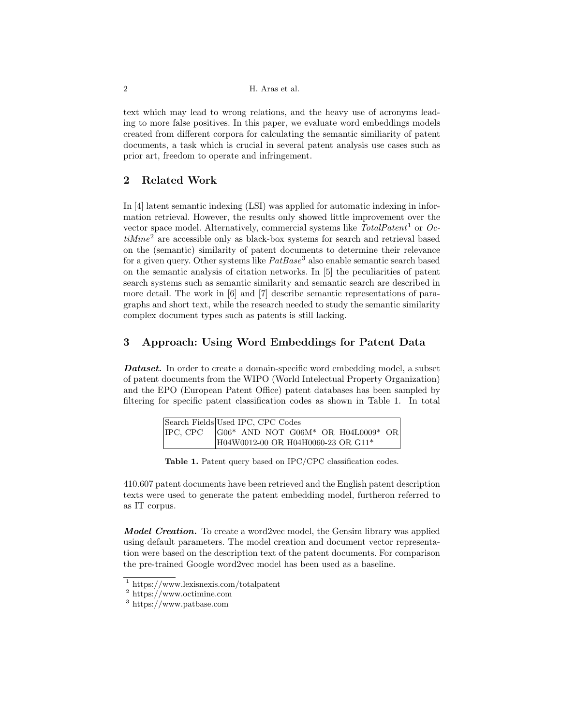text which may lead to wrong relations, and the heavy use of acronyms leading to more false positives. In this paper, we evaluate word embeddings models created from different corpora for calculating the semantic similiarity of patent documents, a task which is crucial in several patent analysis use cases such as prior art, freedom to operate and infringement.

# 2 Related Work

In [4] latent semantic indexing (LSI) was applied for automatic indexing in information retrieval. However, the results only showed little improvement over the vector space model. Alternatively, commercial systems like  $TotalPatent<sup>1</sup>$  or  $Oc$  $tiMine<sup>2</sup>$  are accessible only as black-box systems for search and retrieval based on the (semantic) similarity of patent documents to determine their relevance for a given query. Other systems like  $PatBase<sup>3</sup>$  also enable semantic search based on the semantic analysis of citation networks. In [5] the peculiarities of patent search systems such as semantic similarity and semantic search are described in more detail. The work in [6] and [7] describe semantic representations of paragraphs and short text, while the research needed to study the semantic similarity complex document types such as patents is still lacking.

# 3 Approach: Using Word Embeddings for Patent Data

**Dataset.** In order to create a domain-specific word embedding model, a subset of patent documents from the WIPO (World Intelectual Property Organization) and the EPO (European Patent Office) patent databases has been sampled by filtering for specific patent classification codes as shown in Table 1. In total

|          | Search Fields Used IPC, CPC Codes  |  |  |  |  |                                                     |  |
|----------|------------------------------------|--|--|--|--|-----------------------------------------------------|--|
| IPC, CPC |                                    |  |  |  |  | $ G06*$ AND NOT G06M* OR H04 $\overline{L0009*}$ OR |  |
|          | H04W0012-00 OR H04H0060-23 OR G11* |  |  |  |  |                                                     |  |

Table 1. Patent query based on IPC/CPC classification codes.

410.607 patent documents have been retrieved and the English patent description texts were used to generate the patent embedding model, furtheron referred to as IT corpus.

Model Creation. To create a word2vec model, the Gensim library was applied using default parameters. The model creation and document vector representation were based on the description text of the patent documents. For comparison the pre-trained Google word2vec model has been used as a baseline.

<sup>1</sup> https://www.lexisnexis.com/totalpatent

<sup>2</sup> https://www.octimine.com

<sup>3</sup> https://www.patbase.com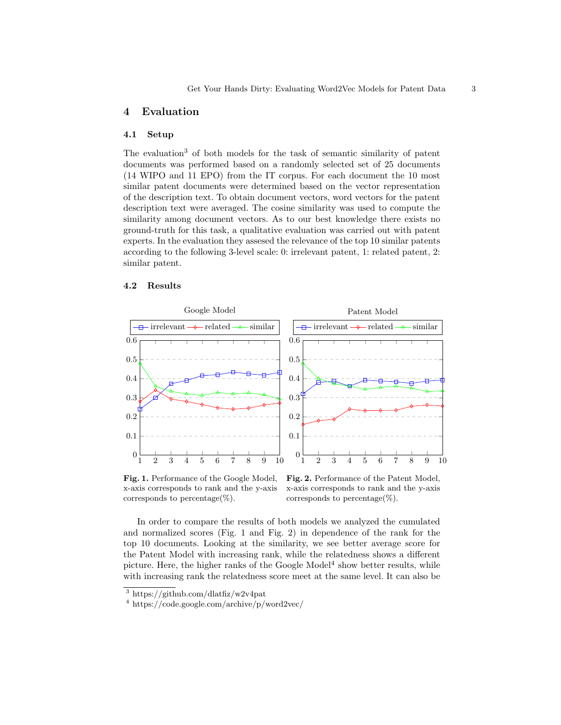#### 4 Evaluation

#### 4.1 Setup

The evaluation<sup>3</sup> of both models for the task of semantic similarity of patent documents was performed based on a randomly selected set of 25 documents (14 WIPO and 11 EPO) from the IT corpus. For each document the 10 most similar patent documents were determined based on the vector representation of the description text. To obtain document vectors, word vectors for the patent description text were averaged. The cosine similarity was used to compute the similarity among document vectors. As to our best knowledge there exists no ground-truth for this task, a qualitative evaluation was carried out with patent experts. In the evaluation they assesed the relevance of the top 10 similar patents according to the following 3-level scale: 0: irrelevant patent, 1: related patent, 2: similar patent.

### 4.2 Results



Fig. 1. Performance of the Google Model, x-axis corresponds to rank and the y-axis corresponds to percentage $(\%)$ .

Fig. 2. Performance of the Patent Model, x-axis corresponds to rank and the y-axis corresponds to percentage $(\%)$ .

In order to compare the results of both models we analyzed the cumulated and normalized scores (Fig. 1 and Fig. 2) in dependence of the rank for the top 10 documents. Looking at the similarity, we see better average score for the Patent Model with increasing rank, while the relatedness shows a different picture. Here, the higher ranks of the Google  $Model<sup>4</sup>$  show better results, while with increasing rank the relatedness score meet at the same level. It can also be

 $3 \text{ https://github.com/dlaffiz/w2v4pat}$ 

<sup>4</sup> https://code.google.com/archive/p/word2vec/